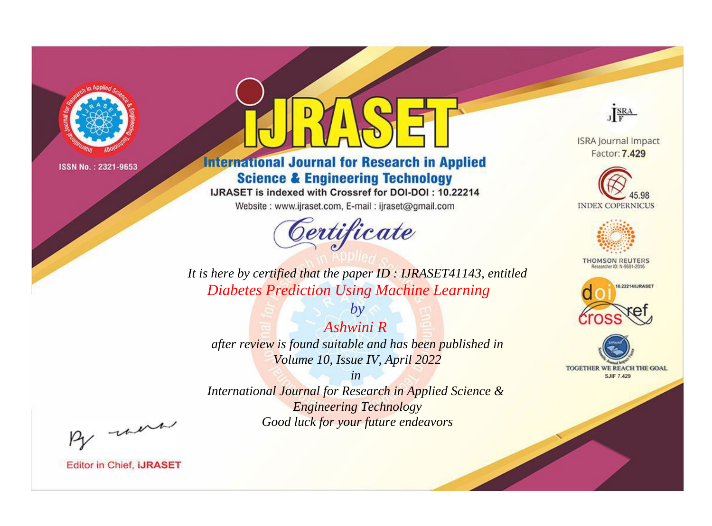

# **International Journal for Research in Applied Science & Engineering Technology**

IJRASET is indexed with Crossref for DOI-DOI: 10.22214

Website: www.ijraset.com, E-mail: ijraset@gmail.com



JERA

**ISRA Journal Impact** Factor: 7.429





**THOMSON REUTERS** 



TOGETHER WE REACH THE GOAL **SJIF 7.429** 

*It is here by certified that the paper ID : IJRASET41143, entitled Diabetes Prediction Using Machine Learning*

*Ashwini R after review is found suitable and has been published in Volume 10, Issue IV, April 2022*

*by*

*in* 

*International Journal for Research in Applied Science & Engineering Technology Good luck for your future endeavors*

By morn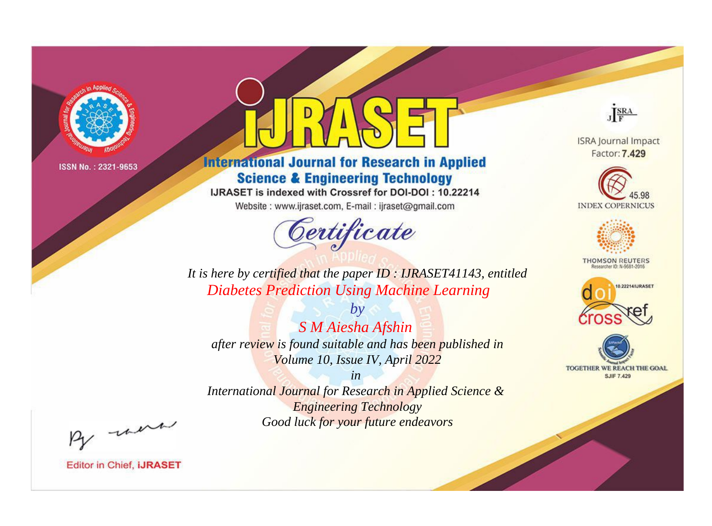

# **International Journal for Research in Applied Science & Engineering Technology**

IJRASET is indexed with Crossref for DOI-DOI: 10.22214

Website: www.ijraset.com, E-mail: ijraset@gmail.com



JERA

**ISRA Journal Impact** Factor: 7.429





**THOMSON REUTERS** 



TOGETHER WE REACH THE GOAL **SJIF 7.429** 

*It is here by certified that the paper ID : IJRASET41143, entitled Diabetes Prediction Using Machine Learning*

*S M Aiesha Afshin after review is found suitable and has been published in Volume 10, Issue IV, April 2022*

*by*

*in* 

*International Journal for Research in Applied Science & Engineering Technology Good luck for your future endeavors*

By morn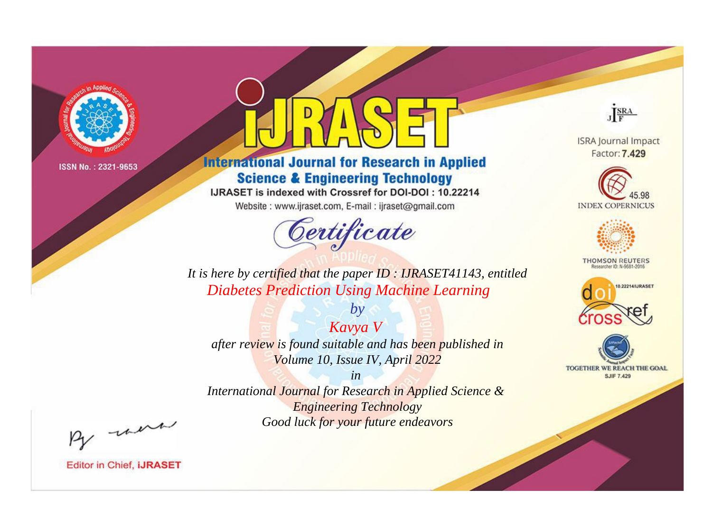

# **International Journal for Research in Applied Science & Engineering Technology**

IJRASET is indexed with Crossref for DOI-DOI: 10.22214

Website: www.ijraset.com, E-mail: ijraset@gmail.com



JERA

**ISRA Journal Impact** Factor: 7.429





**THOMSON REUTERS** 



TOGETHER WE REACH THE GOAL **SJIF 7.429** 

*It is here by certified that the paper ID : IJRASET41143, entitled Diabetes Prediction Using Machine Learning*

*Kavya V after review is found suitable and has been published in Volume 10, Issue IV, April 2022*

*by*

*in* 

*International Journal for Research in Applied Science & Engineering Technology Good luck for your future endeavors*

By morn